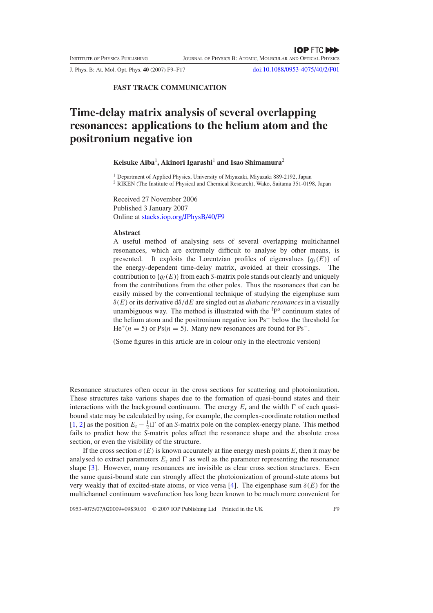J. Phys. B: At. Mol. Opt. Phys. **40** (2007) F9–F17 [doi:10.1088/0953-4075/40/2/F01](http://dx.doi.org/10.1088/0953-4075/40/2/F01)

**FAST TRACK COMMUNICATION**

# **Time-delay matrix analysis of several overlapping resonances: applications to the helium atom and the positronium negative ion**

# **Keisuke Aiba**<sup>1</sup> **, Akinori Igarashi**<sup>1</sup> **and Isao Shimamura**<sup>2</sup>

<sup>1</sup> Department of Applied Physics, University of Miyazaki, Miyazaki 889-2192, Japan <sup>2</sup> RIKEN (The Institute of Physical and Chemical Research), Wako, Saitama 351-0198, Japan

Received 27 November 2006 Published 3 January 2007 Online at [stacks.iop.org/JPhysB/40/F9](http://stacks.iop.org/JPhysB/40/F9)

#### **Abstract**

A useful method of analysing sets of several overlapping multichannel resonances, which are extremely difficult to analyse by other means, is presented. It exploits the Lorentzian profiles of eigenvalues  $\{q_i(E)\}\$  of the energy-dependent time-delay matrix, avoided at their crossings. The contribution to  ${q_i(E)}$  from each *S*-matrix pole stands out clearly and uniquely from the contributions from the other poles. Thus the resonances that can be easily missed by the conventional technique of studying the eigenphase sum *δ(E)* or its derivative d*δ/*d*E* are singled out as *diabatic resonances*in a visually unambiguous way. The method is illustrated with the  ${}^{1}P^{o}$  continuum states of the helium atom and the positronium negative ion Ps<sup>−</sup> below the threshold for He<sup>+</sup> $(n = 5)$  or Ps $(n = 5)$ . Many new resonances are found for Ps<sup>-</sup>.

(Some figures in this article are in colour only in the electronic version)

Resonance structures often occur in the cross sections for scattering and photoionization. These structures take various shapes due to the formation of quasi-bound states and their interactions with the background continuum. The energy  $E_r$  and the width  $\Gamma$  of each quasibound state may be calculated by using, for example, the complex-coordinate rotation method [\[1](#page-7-0), [2](#page-7-0)] as the position  $E_r - \frac{1}{2}i\Gamma$  of an *S*-matrix pole on the complex-energy plane. This method fails to predict how the *S*-matrix poles affect the resonance shape and the absolute cross section, or even the visibility of the structure.

If the cross section  $\sigma(E)$  is known accurately at fine energy mesh points *E*, then it may be analysed to extract parameters  $E_r$  and  $\Gamma$  as well as the parameter representing the resonance shape [\[3](#page-7-0)]. However, many resonances are invisible as clear cross section structures. Even the same quasi-bound state can strongly affect the photoionization of ground-state atoms but very weakly that of excited-state atoms, or vice versa [\[4\]](#page-7-0). The eigenphase sum  $\delta(E)$  for the multichannel continuum wavefunction has long been known to be much more convenient for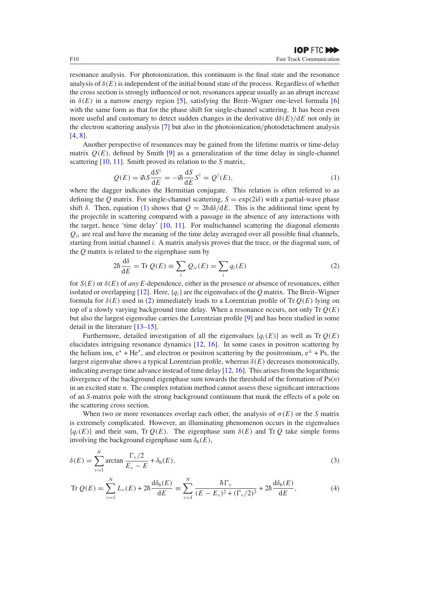<span id="page-1-0"></span>resonance analysis. For photoionization, this continuum is the final state and the resonance analysis of  $\delta(E)$  is independent of the initial bound state of the process. Regardless of whether the cross section is strongly influenced or not, resonances appear usually as an abrupt increase in  $\delta(E)$  in a narrow energy region [\[5\]](#page-8-0), satisfying the Breit–Wigner one-level formula [\[6](#page-8-0)] with the same form as that for the phase shift for single-channel scattering. It has been even more useful and customary to detect sudden changes in the derivative  $d\delta(E)/dE$  not only in the electron scattering analysis [\[7](#page-8-0)] but also in the photoionization*/*photodetachment analysis [\[4](#page-7-0), [8](#page-8-0)].

Another perspective of resonances may be gained from the lifetime matrix or time-delay matrix  $Q(E)$ , defined by Smith [\[9](#page-8-0)] as a generalization of the time delay in single-channel scattering [\[10](#page-8-0), [11](#page-8-0)]. Smith proved its relation to the *S* matrix,

$$
Q(E) = i\hbar S \frac{\mathrm{d}S^{\dagger}}{\mathrm{d}E} = -i\hbar \frac{\mathrm{d}S}{\mathrm{d}E} S^{\dagger} = Q^{\dagger}(E),\tag{1}
$$

where the dagger indicates the Hermitian conjugate. This relation is often referred to as defining the *Q* matrix. For single-channel scattering,  $S = \exp(2i\delta)$  with a partial-wave phase shift  $\delta$ . Then, equation (1) shows that  $Q = 2h d\delta/dE$ . This is the additional time spent by the projectile in scattering compared with a passage in the absence of any interactions with the target, hence 'time delay' [\[10,](#page-8-0) [11\]](#page-8-0). For multichannel scattering the diagonal elements  $Q_{ii}$  are real and have the meaning of the time delay averaged over all possible final channels, starting from initial channel *i*. A matrix analysis proves that the trace, or the diagonal sum, of the *Q* matrix is related to the eigenphase sum by

$$
2\hbar \frac{d\delta}{dE} = \text{Tr } Q(E) \equiv \sum_{i} Q_{ii}(E) = \sum_{i} q_i(E) \tag{2}
$$

for *S(E)* or *δ(E)* of *any E*-dependence, either in the presence or absence of resonances, either isolated or overlapping [\[12\]](#page-8-0). Here,  ${q_i}$  are the eigenvalues of the *Q* matrix. The Breit–Wigner formula for  $\delta(E)$  used in (2) immediately leads to a Lorentzian profile of Tr  $Q(E)$  lying on top of a slowly varying background time delay. When a resonance occurs, not only Tr *Q(E)* but also the largest eigenvalue carries the Lorentzian profile [\[9](#page-8-0)] and has been studied in some detail in the literature [\[13–15](#page-8-0)].

Furthermore, detailed investigation of all the eigenvalues  ${q_i(E)}$  as well as Tr  $Q(E)$ elucidates intriguing resonance dynamics [\[12,](#page-8-0) [16\]](#page-8-0). In some cases in positron scattering by the helium ion,  $e^+ + He^+$ , and electron or positron scattering by the positronium,  $e^{\pm} + Ps$ , the largest eigenvalue shows a typical Lorentzian profile, whereas *δ(E)* decreases monotonically, indicating average time advance instead of time delay [\[12,](#page-8-0) [16](#page-8-0)]. This arises from the logarithmic divergence of the background eigenphase sum towards the threshold of the formation of Ps(*n*) in an excited state *n*. The complex rotation method cannot assess these significant interactions of an *S*-matrix pole with the strong background continuum that mask the effects of a pole on the scattering cross section.

When two or more resonances overlap each other, the analysis of  $\sigma(E)$  or the *S* matrix is extremely complicated. However, an illuminating phenomenon occurs in the eigenvalues  ${q_i(E)}$  and their sum, Tr  $Q(E)$ . The eigenphase sum  $\delta(E)$  and Tr  $Q$  take simple forms involving the background eigenphase sum  $\delta_b(E)$ ,

$$
\delta(E) = \sum_{\nu=1}^{N} \arctan \frac{\Gamma_{\nu}/2}{E_{\nu} - E} + \delta_{\rm b}(E),
$$
\n(3)

$$
\operatorname{Tr} Q(E) = \sum_{\nu=1}^{N} L_{\nu}(E) + 2\hbar \frac{d\delta_{b}(E)}{dE} \equiv \sum_{\nu=1}^{N} \frac{\hbar \Gamma_{\nu}}{(E - E_{\nu})^{2} + (\Gamma_{\nu}/2)^{2}} + 2\hbar \frac{d\delta_{b}(E)}{dE},
$$
(4)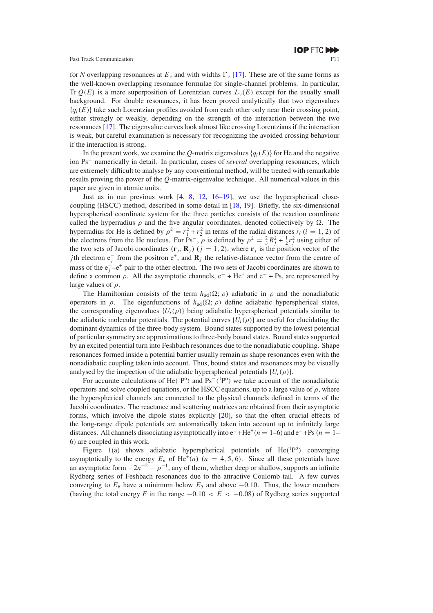for *N* overlapping resonances at  $E_\nu$  and with widths  $\Gamma_\nu$  [\[17\]](#page-8-0). These are of the same forms as the well-known overlapping resonance formulae for single-channel problems. In particular, Tr  $O(E)$  is a mere superposition of Lorentzian curves  $L<sub>v</sub>(E)$  except for the usually small background. For double resonances, it has been proved analytically that two eigenvalues  ${q_i(E)}$  take such Lorentzian profiles avoided from each other only near their crossing point, either strongly or weakly, depending on the strength of the interaction between the two resonances [\[17\]](#page-8-0). The eigenvalue curves look almost like crossing Lorentzians if the interaction is weak, but careful examination is necessary for recognizing the avoided crossing behaviour if the interaction is strong.

In the present work, we examine the *Q*-matrix eigenvalues  ${q_i(E)}$  for He and the negative ion Ps<sup>−</sup> numerically in detail. In particular, cases of *several* overlapping resonances, which are extremely difficult to analyse by any conventional method, will be treated with remarkable results proving the power of the *Q*-matrix-eigenvalue technique. All numerical values in this paper are given in atomic units.

Just as in our previous work [\[4](#page-7-0), [8,](#page-8-0) [12,](#page-8-0) [16–19\]](#page-8-0), we use the hyperspherical closecoupling (HSCC) method, described in some detail in [\[18](#page-8-0), [19\]](#page-8-0). Briefly, the six-dimensional hyperspherical coordinate system for the three particles consists of the reaction coordinate called the hyperradius  $\rho$  and the five angular coordinates, denoted collectively by  $\Omega$ . The hyperradius for He is defined by  $\rho^2 = r_1^2 + r_2^2$  in terms of the radial distances  $r_i$  ( $i = 1, 2$ ) of the electrons from the He nucleus. For Ps<sup>-</sup>,  $\rho$  is defined by  $\rho^2 = \frac{2}{3}R_j^2 + \frac{1}{2}r_j^2$  using either of the two sets of Jacobi coordinates  $(\mathbf{r}_j, \mathbf{R}_j)$   $(j = 1, 2)$ , where  $\mathbf{r}_j$  is the position vector of the *j*th electron  $e_j^-$  from the positron  $e^+$ , and  $\mathbf{R}_j$  the relative-distance vector from the centre of mass of the  $e_j^- - e^+$  pair to the other electron. The two sets of Jacobi coordinates are shown to define a common  $\rho$ . All the asymptotic channels,  $e^-$  + He<sup>+</sup> and  $e^-$  + Ps, are represented by large values of *ρ*.

The Hamiltonian consists of the term  $h_{\text{ad}}(\Omega; \rho)$  adiabatic in  $\rho$  and the nonadiabatic operators in *ρ*. The eigenfunctions of  $h_{ad}(\Omega; \rho)$  define adiabatic hyperspherical states, the corresponding eigenvalues  $\{U_i(\rho)\}$  being adiabatic hyperspherical potentials similar to the adiabatic molecular potentials. The potential curves  ${U_i(\rho)}$  are useful for elucidating the dominant dynamics of the three-body system. Bound states supported by the lowest potential of particular symmetry are approximations to three-body bound states. Bound states supported by an excited potential turn into Feshbach resonances due to the nonadiabatic coupling. Shape resonances formed inside a potential barrier usually remain as shape resonances even with the nonadiabatic coupling taken into account. Thus, bound states and resonances may be visually analysed by the inspection of the adiabatic hyperspherical potentials  $\{U_i(\rho)\}\$ .

For accurate calculations of  $He(^{1}P^{o})$  and  $Ps^{-}(^{1}P^{o})$  we take account of the nonadiabatic operators and solve coupled equations, or the HSCC equations, up to a large value of  $\rho$ , where the hyperspherical channels are connected to the physical channels defined in terms of the Jacobi coordinates. The reactance and scattering matrices are obtained from their asymptotic forms, which involve the dipole states explicitly [\[20\]](#page-8-0), so that the often crucial effects of the long-range dipole potentials are automatically taken into account up to infinitely large distances. All channels dissociating asymptotically into e<sup>−</sup>+He<sup>+</sup>*(n* = 1–6) and e<sup>−</sup>+Ps*(n* = 1– 6*)* are coupled in this work.

Figure [1\(](#page-3-0)a) shows adiabatic hyperspherical potentials of He(<sup>1</sup>P<sup>o</sup>) converging asymptotically to the energy  $E_n$  of He<sup>+</sup>(n) (n = 4, 5, 6). Since all these potentials have an asymptotic form  $-2n^{-2} - \rho^{-1}$ , any of them, whether deep or shallow, supports an infinite Rydberg series of Feshbach resonances due to the attractive Coulomb tail. A few curves converging to  $E_6$  have a minimum below  $E_5$  and above  $-0.10$ . Thus, the lower members (having the total energy *E* in the range  $-0.10 < E < -0.08$ ) of Rydberg series supported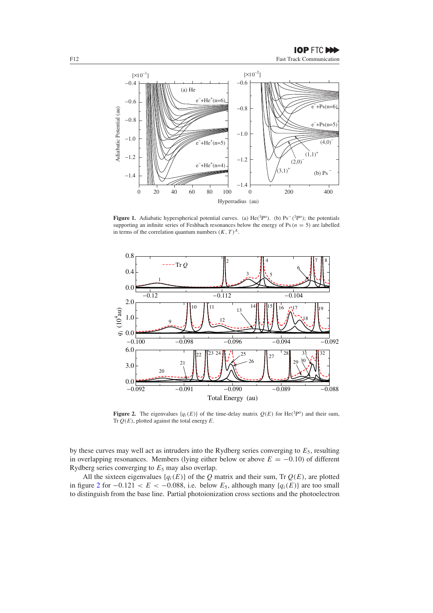<span id="page-3-0"></span>

**Figure 1.** Adiabatic hyperspherical potential curves. (a) He*(*1Po*)*. (b) Ps−*(*1Po*)*; the potentials supporting an infinite series of Feshbach resonances below the energy of Ps ( $n = 5$ ) are labelled in terms of the correlation quantum numbers  $(K, T)^A$ .



**Figure 2.** The eigenvalues  $\{q_i(E)\}\)$  of the time-delay matrix  $Q(E)$  for He(<sup>1</sup>P<sup>o</sup>) and their sum, Tr  $Q(E)$ , plotted against the total energy  $E$ .

by these curves may well act as intruders into the Rydberg series converging to *E*5, resulting in overlapping resonances. Members (lying either below or above  $E = -0.10$ ) of different Rydberg series converging to *E*<sup>5</sup> may also overlap.

All the sixteen eigenvalues  $\{q_i(E)\}\$  of the *Q* matrix and their sum, Tr  $Q(E)$ , are plotted in figure 2 for  $-0.121 < E < -0.088$ , i.e. below  $E_5$ , although many {*q<sub>i</sub>*(*E)*} are too small to distinguish from the base line. Partial photoionization cross sections and the photoelectron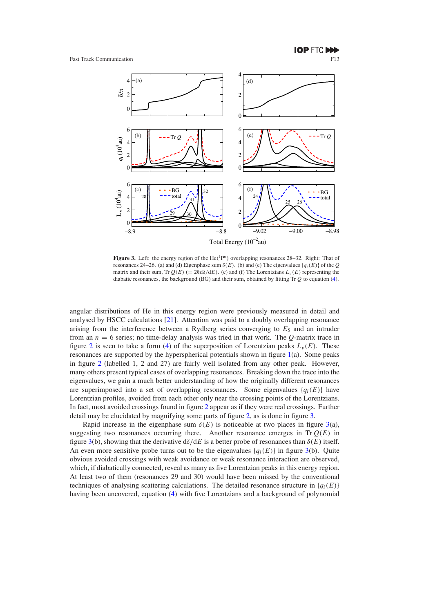<span id="page-4-0"></span>

Figure 3. Left: the energy region of the He(<sup>1</sup>P<sup>o</sup>) overlapping resonances 28–32. Right: That of resonances 24–26. (a) and (d) Eigenphase sum  $\delta(E)$ . (b) and (e) The eigenvalues  $\{q_i(E)\}\$  of the *Q* matrix and their sum, Tr  $O(E)$  (=  $2h d\delta/dE$ ). (c) and (f) The Lorentzians  $L_v(E)$  representing the diabatic resonances, the background (BG) and their sum, obtained by fitting Tr *Q* to equation [\(4\)](#page-1-0).

angular distributions of He in this energy region were previously measured in detail and analysed by HSCC calculations [\[21](#page-8-0)]. Attention was paid to a doubly overlapping resonance arising from the interference between a Rydberg series converging to  $E_5$  and an intruder from an *n* = 6 series; no time-delay analysis was tried in that work. The *Q*-matrix trace in figure [2](#page-3-0) is seen to take a form [\(4\)](#page-1-0) of the superposition of Lorentzian peaks  $L_{\nu}(E)$ . These resonances are supported by the hyperspherical potentials shown in figure [1\(](#page-3-0)a). Some peaks in figure [2](#page-3-0) (labelled 1, 2 and 27) are fairly well isolated from any other peak. However, many others present typical cases of overlapping resonances. Breaking down the trace into the eigenvalues, we gain a much better understanding of how the originally different resonances are superimposed into a set of overlapping resonances. Some eigenvalues  $\{q_i(E)\}\$ have Lorentzian profiles, avoided from each other only near the crossing points of the Lorentzians. In fact, most avoided crossings found in figure [2](#page-3-0) appear as if they were real crossings. Further detail may be elucidated by magnifying some parts of figure [2,](#page-3-0) as is done in figure 3.

Rapid increase in the eigenphase sum  $\delta(E)$  is noticeable at two places in figure 3(a), suggesting two resonances occurring there. Another resonance emerges in  $Tr Q(E)$  in figure 3(b), showing that the derivative d*δ/*d*E* is a better probe of resonances than *δ(E)* itself. An even more sensitive probe turns out to be the eigenvalues  ${q_i(E)}$  in figure 3(b). Quite obvious avoided crossings with weak avoidance or weak resonance interaction are observed, which, if diabatically connected, reveal as many as five Lorentzian peaks in this energy region. At least two of them (resonances 29 and 30) would have been missed by the conventional techniques of analysing scattering calculations. The detailed resonance structure in  $\{q_i(E)\}\$ having been uncovered, equation [\(4\)](#page-1-0) with five Lorentzians and a background of polynomial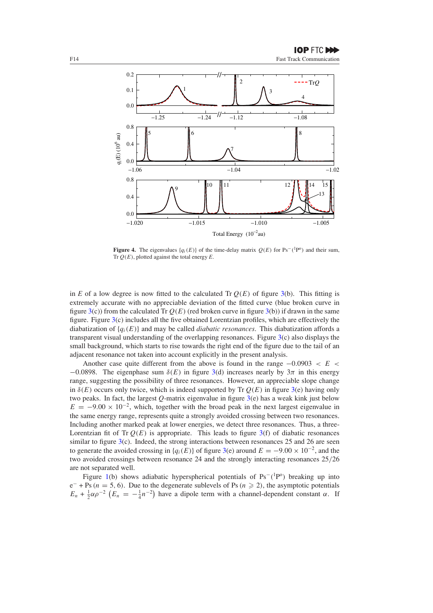<span id="page-5-0"></span>

**Figure 4.** The eigenvalues  $\{q_i(E)\}\)$  of the time-delay matrix  $Q(E)$  for Ps<sup>-</sup>(<sup>1</sup>P<sup>o</sup>) and their sum, Tr *Q(E)*, plotted against the total energy *E*.

in *E* of a low degree is now fitted to the calculated Tr  $Q(E)$  of figure [3\(](#page-4-0)b). This fitting is extremely accurate with no appreciable deviation of the fitted curve (blue broken curve in figure [3\(](#page-4-0)c)) from the calculated Tr  $Q(E)$  (red broken curve in figure 3(b)) if drawn in the same figure. Figure [3\(](#page-4-0)c) includes all the five obtained Lorentzian profiles, which are effectively the diabatization of {*qi(E)*} and may be called *diabatic resonances*. This diabatization affords a transparent visual understanding of the overlapping resonances. Figure [3\(](#page-4-0)c) also displays the small background, which starts to rise towards the right end of the figure due to the tail of an adjacent resonance not taken into account explicitly in the present analysis.

Another case quite different from the above is found in the range −0*.*0903 *<E<*  $-0.0898$ . The eigenphase sum  $\delta(E)$  in figure [3\(](#page-4-0)d) increases nearly by  $3\pi$  in this energy range, suggesting the possibility of three resonances. However, an appreciable slope change in  $\delta(E)$  occurs only twice, which is indeed supported by Tr  $Q(E)$  in figure [3\(](#page-4-0)e) having only two peaks. In fact, the largest *Q*-matrix eigenvalue in figure [3\(](#page-4-0)e) has a weak kink just below  $E = -9.00 \times 10^{-2}$ , which, together with the broad peak in the next largest eigenvalue in the same energy range, represents quite a strongly avoided crossing between two resonances. Including another marked peak at lower energies, we detect three resonances. Thus, a three-Lorentzian fit of Tr  $Q(E)$  is appropriate. This leads to figure  $3(f)$  $3(f)$  of diabatic resonances similar to figure  $3(c)$  $3(c)$ . Indeed, the strong interactions between resonances 25 and 26 are seen to generate the avoided crossing in  $\{q_i(E)\}\$  of figure [3\(](#page-4-0)e) around  $E = -9.00 \times 10^{-2}$ , and the two avoided crossings between resonance 24 and the strongly interacting resonances 25*/*26 are not separated well.

Figure [1\(](#page-3-0)b) shows adiabatic hyperspherical potentials of Ps<sup>-</sup>(<sup>1</sup>P<sup>o</sup>) breaking up into e<sup>−</sup> + Ps*(n* = 5*,* 6*)*. Due to the degenerate sublevels of Ps*(n* 2*)*, the asymptotic potentials  $E_n + \frac{1}{2} \alpha \rho^{-2}$   $(E_n = -\frac{1}{4} n^{-2})$  have a dipole term with a channel-dependent constant *α*. If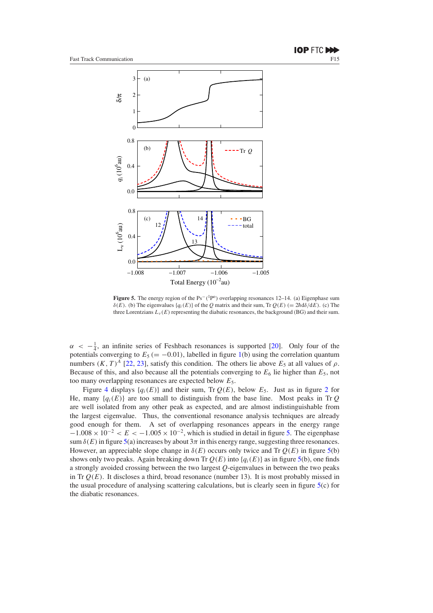

**Figure 5.** The energy region of the Ps−*(*1Po*)* overlapping resonances 12–14. (a) Eigenphase sum *δ(E)*. (b) The eigenvalues { $q_i(E)$ } of the *Q* matrix and their sum, Tr  $Q(E)$  (= 2 $h$ d $δ/dE$ ). (c) The three Lorentzians  $L_v(E)$  representing the diabatic resonances, the background (BG) and their sum.

 $\alpha < -\frac{1}{4}$ , an infinite series of Feshbach resonances is supported [\[20\]](#page-8-0). Only four of the potentials converging to  $E_5$  ( $= -0.01$ ), labelled in figure [1\(](#page-3-0)b) using the correlation quantum numbers  $(K, T)^A$  [\[22,](#page-8-0) [23](#page-8-0)], satisfy this condition. The others lie above  $E_5$  at all values of  $\rho$ . Because of this, and also because all the potentials converging to  $E_6$  lie higher than  $E_5$ , not too many overlapping resonances are expected below *E*5.

Figure [4](#page-5-0) displays  $\{q_i(E)\}\$  and their sum, Tr  $Q(E)$ , below  $E_5$ . Just as in figure [2](#page-3-0) for He, many  ${q_i(E)}$  are too small to distinguish from the base line. Most peaks in Tr *Q* are well isolated from any other peak as expected, and are almost indistinguishable from the largest eigenvalue. Thus, the conventional resonance analysis techniques are already good enough for them. A set of overlapping resonances appears in the energy range  $-1.008 \times 10^{-2} < E < -1.005 \times 10^{-2}$ , which is studied in detail in figure 5. The eigenphase sum  $\delta(E)$  in figure 5(a) increases by about  $3\pi$  in this energy range, suggesting three resonances. However, an appreciable slope change in  $\delta(E)$  occurs only twice and Tr  $Q(E)$  in figure 5(b) shows only two peaks. Again breaking down Tr  $Q(E)$  into  ${q_i(E)}$  as in figure 5(b), one finds a strongly avoided crossing between the two largest *Q*-eigenvalues in between the two peaks in Tr  $Q(E)$ . It discloses a third, broad resonance (number 13). It is most probably missed in the usual procedure of analysing scattering calculations, but is clearly seen in figure  $5(c)$  for the diabatic resonances.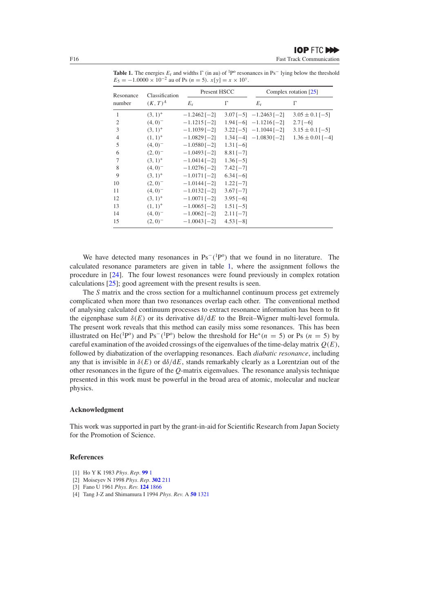Resonance Classification Present HSCC Complex rotation [\[25\]](#page-8-0) number  $(K, T)^A$   $E_r$   $\Gamma$  *E*<sup>r</sup> *-* $\Gamma$  *(*3*,* 1*)*<sup>+</sup> −1*.*2462 [−2] 3*.*07 [−5] −1*.*2463 [−2] 3*.*05 ± 0*.*1 [−5] *(*4*,* 0*)*<sup>−</sup> −1*.*1215 [−2] 1*.*94 [−6] −1*.*1216 [−2] 2*.*7 [−6] *(*3*,* 1*)*<sup>+</sup> −1*.*1039 [−2] 3*.*22 [−5] −1*.*1044 [−2] 3*.*15 ± 0*.*1 [−5] *(*1*,* 1*)*<sup>+</sup> −1*.*0829 [−2] 1*.*34 [−4] −1*.*0830 [−2] 1*.*36 ± 0*.*01 [−4] *(*4*,* 0*)*<sup>−</sup> −1*.*0580 [−2] 1*.*31 [−6] *(*2*,* 0*)*<sup>−</sup> −1*.*0493 [−2] 8*.*81 [−7] *(*3*,* 1*)*<sup>+</sup> −1*.*0414 [−2] 1*.*36 [−5] *(*4*,* 0*)*<sup>−</sup> −1*.*0276 [−2] 7*.*42 [−7] *(*3*,* 1*)*<sup>+</sup> −1*.*0171 [−2] 6*.*34 [−6] *(*2*,* 0*)*<sup>−</sup> −1*.*0144 [−2] 1*.*22 [−7]

<span id="page-7-0"></span>**Table 1.** The energies  $E_r$  and widths  $\Gamma$  (in au) of <sup>1</sup>P<sup>o</sup> resonances in Ps<sup>−</sup> lying below the threshold  $E_5 = -1.0000 \times 10^{-2}$  au of Ps  $(n = 5)$ .  $x[y] = x \times 10^y$ .

We have detected many resonances in  $Ps^{-1}P^{\circ}$  that we found in no literature. The calculated resonance parameters are given in table 1, where the assignment follows the procedure in [\[24\]](#page-8-0). The four lowest resonances were found previously in complex rotation calculations [\[25](#page-8-0)]; good agreement with the present results is seen.

 *(*4*,* 0*)*<sup>−</sup> −1*.*0132 [−2] 3*.*67 [−7] *(*3*,* 1*)*<sup>+</sup> −1*.*0071 [−2] 3*.*95 [−6] *(*1*,* 1*)*<sup>+</sup> −1*.*0065 [−2] 1*.*51 [−5] *(*4*,* 0*)*<sup>−</sup> −1*.*0062 [−2] 2*.*11 [−7] *(*2*,* 0*)*<sup>−</sup> −1*.*0043 [−2] 4*.*53 [−8]

The *S* matrix and the cross section for a multichannel continuum process get extremely complicated when more than two resonances overlap each other. The conventional method of analysing calculated continuum processes to extract resonance information has been to fit the eigenphase sum  $\delta(E)$  or its derivative  $d\delta/dE$  to the Breit–Wigner multi-level formula. The present work reveals that this method can easily miss some resonances. This has been illustrated on He<sup>(1</sup>P<sup>o</sup>) and Ps<sup>−</sup>(<sup>1</sup>P<sup>o</sup>) below the threshold for He<sup>+</sup>(*n* = 5) or Ps (*n* = 5) by careful examination of the avoided crossings of the eigenvalues of the time-delay matrix *Q(E)*, followed by diabatization of the overlapping resonances. Each *diabatic resonance*, including any that is invisible in *δ(E)* or d*δ/*d*E*, stands remarkably clearly as a Lorentzian out of the other resonances in the figure of the *Q*-matrix eigenvalues. The resonance analysis technique presented in this work must be powerful in the broad area of atomic, molecular and nuclear physics.

### **Acknowledgment**

This work was supported in part by the grant-in-aid for Scientific Research from Japan Society for the Promotion of Science.

## **References**

- [1] Ho Y K 1983 *Phys. Rep.* **[99](http://dx.doi.org/Ref1)** 1
- [2] Moiseyev N 1998 *Phys. Rep.* **[302](http://dx.doi.org/Ref2)** 211
- [3] Fano U 1961 *Phys. Rev.* **124** [1866](http://dx.doi.org/10.1103/PhysRev.124.1866)
- [4] Tang J-Z and Shimamura I 1994 *Phys. Rev.* A **50** [1321](http://dx.doi.org/10.1103/PhysRevA.50.1321)